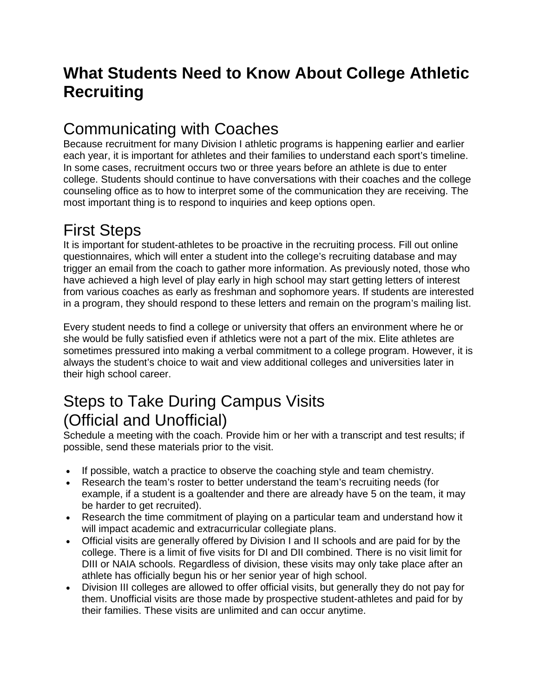## **What Students Need to Know About College Athletic Recruiting**

### Communicating with Coaches

Because recruitment for many Division I athletic programs is happening earlier and earlier each year, it is important for athletes and their families to understand each sport's timeline. In some cases, recruitment occurs two or three years before an athlete is due to enter college. Students should continue to have conversations with their coaches and the college counseling office as to how to interpret some of the communication they are receiving. The most important thing is to respond to inquiries and keep options open.

## First Steps

It is important for student-athletes to be proactive in the recruiting process. Fill out online questionnaires, which will enter a student into the college's recruiting database and may trigger an email from the coach to gather more information. As previously noted, those who have achieved a high level of play early in high school may start getting letters of interest from various coaches as early as freshman and sophomore years. If students are interested in a program, they should respond to these letters and remain on the program's mailing list.

Every student needs to find a college or university that offers an environment where he or she would be fully satisfied even if athletics were not a part of the mix. Elite athletes are sometimes pressured into making a verbal commitment to a college program. However, it is always the student's choice to wait and view additional colleges and universities later in their high school career.

### Steps to Take During Campus Visits (Official and Unofficial)

Schedule a meeting with the coach. Provide him or her with a transcript and test results; if possible, send these materials prior to the visit.

- If possible, watch a practice to observe the coaching style and team chemistry.
- Research the team's roster to better understand the team's recruiting needs (for example, if a student is a goaltender and there are already have 5 on the team, it may be harder to get recruited).
- Research the time commitment of playing on a particular team and understand how it will impact academic and extracurricular collegiate plans.
- Official visits are generally offered by Division I and II schools and are paid for by the college. There is a limit of five visits for DI and DII combined. There is no visit limit for DIII or NAIA schools. Regardless of division, these visits may only take place after an athlete has officially begun his or her senior year of high school.
- Division III colleges are allowed to offer official visits, but generally they do not pay for them. Unofficial visits are those made by prospective student-athletes and paid for by their families. These visits are unlimited and can occur anytime.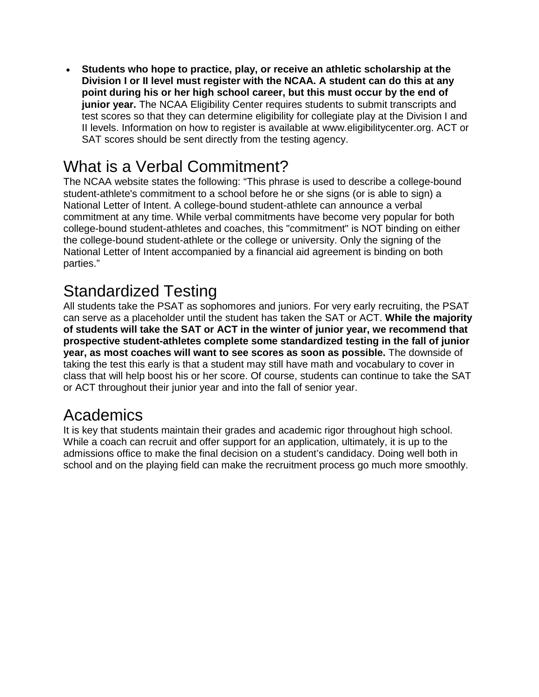• **Students who hope to practice, play, or receive an athletic scholarship at the Division I or II level must register with the NCAA. A student can do this at any point during his or her high school career, but this must occur by the end of junior year.** The NCAA Eligibility Center requires students to submit transcripts and test scores so that they can determine eligibility for collegiate play at the Division I and II levels. Information on how to register is available at www.eligibilitycenter.org. ACT or SAT scores should be sent directly from the testing agency.

## What is a Verbal Commitment?

The NCAA website states the following: "This phrase is used to describe a college-bound student-athlete's commitment to a school before he or she signs (or is able to sign) a National Letter of Intent. A college-bound student-athlete can announce a verbal commitment at any time. While verbal commitments have become very popular for both college-bound student-athletes and coaches, this "commitment" is NOT binding on either the college-bound student-athlete or the college or university. Only the signing of the National Letter of Intent accompanied by a financial aid agreement is binding on both parties."

## Standardized Testing

All students take the PSAT as sophomores and juniors. For very early recruiting, the PSAT can serve as a placeholder until the student has taken the SAT or ACT. **While the majority of students will take the SAT or ACT in the winter of junior year, we recommend that prospective student-athletes complete some standardized testing in the fall of junior year, as most coaches will want to see scores as soon as possible.** The downside of taking the test this early is that a student may still have math and vocabulary to cover in class that will help boost his or her score. Of course, students can continue to take the SAT or ACT throughout their junior year and into the fall of senior year.

### **Academics**

It is key that students maintain their grades and academic rigor throughout high school. While a coach can recruit and offer support for an application, ultimately, it is up to the admissions office to make the final decision on a student's candidacy. Doing well both in school and on the playing field can make the recruitment process go much more smoothly.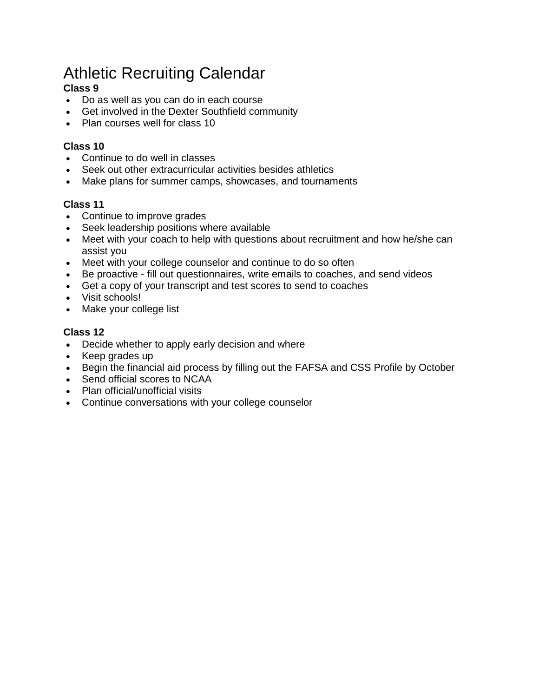# Athletic Recruiting Calendar

#### **Class 9**

- Do as well as you can do in each course
- Get involved in the Dexter Southfield community
- Plan courses well for class 10

#### **Class 10**

- Continue to do well in classes
- Seek out other extracurricular activities besides athletics
- Make plans for summer camps, showcases, and tournaments

#### **Class 11**

- Continue to improve grades
- Seek leadership positions where available
- Meet with your coach to help with questions about recruitment and how he/she can assist you
- Meet with your college counselor and continue to do so often
- Be proactive fill out questionnaires, write emails to coaches, and send videos
- Get a copy of your transcript and test scores to send to coaches
- Visit schools!
- Make your college list

#### **Class 12**

- Decide whether to apply early decision and where
- Keep grades up
- Begin the financial aid process by filling out the FAFSA and CSS Profile by October
- Send official scores to NCAA
- Plan official/unofficial visits
- Continue conversations with your college counselor